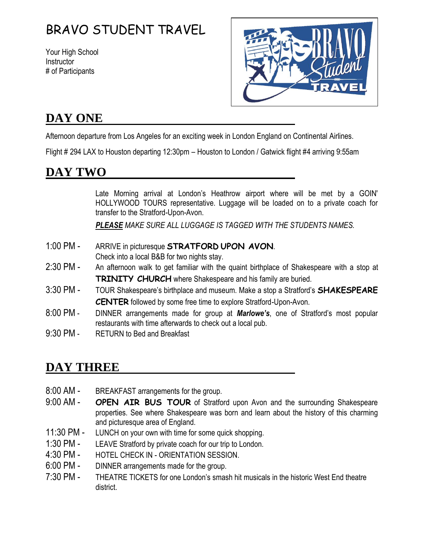# BRAVO STUDENT TRAVEL

Your High School **Instructor** # of Participants



# **DAY ONE**

Afternoon departure from Los Angeles for an exciting week in London England on Continental Airlines.

Flight # 294 LAX to Houston departing 12:30pm – Houston to London / Gatwick flight #4 arriving 9:55am

# **DAY TWO**

Late Morning arrival at London's Heathrow airport where will be met by a GOIN' HOLLYWOOD TOURS representative. Luggage will be loaded on to a private coach for transfer to the Stratford-Upon-Avon.

*PLEASE MAKE SURE ALL LUGGAGE IS TAGGED WITH THE STUDENTS NAMES.*

- 1:00 PM ARRIVE in picturesque **STRATFORD UPON AVON**. Check into a local B&B for two nights stay.
- 2:30 PM An afternoon walk to get familiar with the quaint birthplace of Shakespeare with a stop at **TRINITY CHURCH** where Shakespeare and his family are buried.
- 3:30 PM TOUR Shakespeare's birthplace and museum. Make a stop a Stratford's **SHAKESPEARE CENTER** followed by some free time to explore Stratford-Upon-Avon.
- 8:00 PM DINNER arrangements made for group at *Marlowe's*, one of Stratford's most popular restaurants with time afterwards to check out a local pub.
- 9:30 PM RETURN to Bed and Breakfast

# **DAY THREE**

- 8:00 AM BREAKFAST arrangements for the group.
- 9:00 AM **OPEN AIR BUS TOUR** of Stratford upon Avon and the surrounding Shakespeare properties. See where Shakespeare was born and learn about the history of this charming and picturesque area of England.
- 11:30 PM LUNCH on your own with time for some quick shopping.
- 1:30 PM LEAVE Stratford by private coach for our trip to London.
- 4:30 PM HOTEL CHECK IN ORIENTATION SESSION.
- 6:00 PM DINNER arrangements made for the group.
- 7:30 PM THEATRE TICKETS for one London's smash hit musicals in the historic West End theatre district.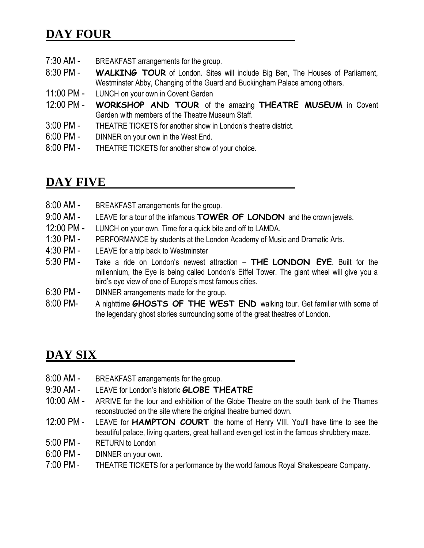# **DAY FOUR**

- 7:30 AM BREAKFAST arrangements for the group.
- 8:30 PM **WALKING TOUR** of London. Sites will include Big Ben, The Houses of Parliament, Westminster Abby, Changing of the Guard and Buckingham Palace among others.
- 11:00 PM LUNCH on your own in Covent Garden
- 12:00 PM **WORKSHOP AND TOUR** of the amazing **THEATRE MUSEUM** in Covent Garden with members of the Theatre Museum Staff.
- 3:00 PM THEATRE TICKETS for another show in London's theatre district.
- 6:00 PM DINNER on your own in the West End.
- 8:00 PM THEATRE TICKETS for another show of your choice.

#### **DAY FIVE**

- 8:00 AM BREAKFAST arrangements for the group. 9:00 AM - LEAVE for a tour of the infamous **TOWER OF LONDON** and the crown jewels. 12:00 PM - LUNCH on your own. Time for a quick bite and off to LAMDA. 1:30 PM - PERFORMANCE by students at the London Academy of Music and Dramatic Arts. 4:30 PM - LEAVE for a trip back to Westminster 5:30 PM - Take a ride on London's newest attraction – **THE LONDON EYE**. Built for the millennium, the Eye is being called London's Eiffel Tower. The giant wheel will give you a bird's eye view of one of Europe's most famous cities.
- 6:30 PM DINNER arrangements made for the group.
- 8:00 PM- A nighttime **GHOSTS OF THE WEST END** walking tour. Get familiar with some of the legendary ghost stories surrounding some of the great theatres of London.

### **DAY SIX**

- 8:00 AM BREAKFAST arrangements for the group.
- 9:30 AM LEAVE for London's historic **GLOBE THEATRE**
- 10:00 AM ARRIVE for the tour and exhibition of the Globe Theatre on the south bank of the Thames reconstructed on the site where the original theatre burned down.
- 12:00 PM LEAVE for **HAMPTON COURT** the home of Henry VIII. You'll have time to see the beautiful palace, living quarters, great hall and even get lost in the famous shrubbery maze.
- 5:00 PM RETURN to London
- 6:00 PM DINNER on your own.
- 7:00 PM THEATRE TICKETS for a performance by the world famous Royal Shakespeare Company.